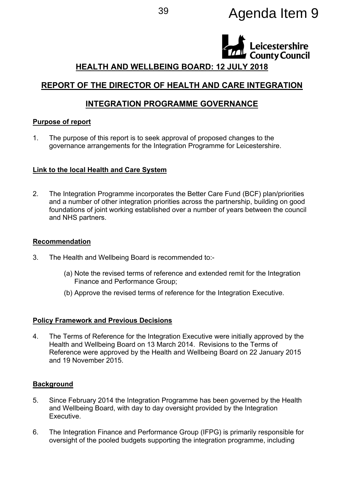# <sup>39</sup> Agenda Item 9



# **HEALTH AND WELLBEING BOARD: 12 JULY 2018**

# **REPORT OF THE DIRECTOR OF HEALTH AND CARE INTEGRATION**

# **INTEGRATION PROGRAMME GOVERNANCE**

### **Purpose of report**

1. The purpose of this report is to seek approval of proposed changes to the governance arrangements for the Integration Programme for Leicestershire.

# **Link to the local Health and Care System**

2. The Integration Programme incorporates the Better Care Fund (BCF) plan/priorities and a number of other integration priorities across the partnership, building on good foundations of joint working established over a number of years between the council and NHS partners.

### **Recommendation**

- 3. The Health and Wellbeing Board is recommended to:-
	- (a) Note the revised terms of reference and extended remit for the Integration Finance and Performance Group;
	- (b) Approve the revised terms of reference for the Integration Executive.

# **Policy Framework and Previous Decisions**

4. The Terms of Reference for the Integration Executive were initially approved by the Health and Wellbeing Board on 13 March 2014. Revisions to the Terms of Reference were approved by the Health and Wellbeing Board on 22 January 2015 and 19 November 2015.

# **Background**

- 5. Since February 2014 the Integration Programme has been governed by the Health and Wellbeing Board, with day to day oversight provided by the Integration Executive.
- 6. The Integration Finance and Performance Group (IFPG) is primarily responsible for oversight of the pooled budgets supporting the integration programme, including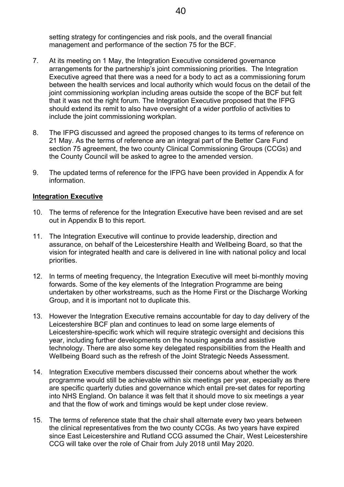setting strategy for contingencies and risk pools, and the overall financial management and performance of the section 75 for the BCF.

- 7. At its meeting on 1 May, the Integration Executive considered governance arrangements for the partnership's joint commissioning priorities. The Integration Executive agreed that there was a need for a body to act as a commissioning forum between the health services and local authority which would focus on the detail of the joint commissioning workplan including areas outside the scope of the BCF but felt that it was not the right forum. The Integration Executive proposed that the IFPG should extend its remit to also have oversight of a wider portfolio of activities to include the joint commissioning workplan.
- 8. The IFPG discussed and agreed the proposed changes to its terms of reference on 21 May. As the terms of reference are an integral part of the Better Care Fund section 75 agreement, the two county Clinical Commissioning Groups (CCGs) and the County Council will be asked to agree to the amended version.
- 9. The updated terms of reference for the IFPG have been provided in Appendix A for information.

### **Integration Executive**

- 10. The terms of reference for the Integration Executive have been revised and are set out in Appendix B to this report.
- 11. The Integration Executive will continue to provide leadership, direction and assurance, on behalf of the Leicestershire Health and Wellbeing Board, so that the vision for integrated health and care is delivered in line with national policy and local priorities.
- 12. In terms of meeting frequency, the Integration Executive will meet bi-monthly moving forwards. Some of the key elements of the Integration Programme are being undertaken by other workstreams, such as the Home First or the Discharge Working Group, and it is important not to duplicate this.
- 13. However the Integration Executive remains accountable for day to day delivery of the Leicestershire BCF plan and continues to lead on some large elements of Leicestershire-specific work which will require strategic oversight and decisions this year, including further developments on the housing agenda and assistive technology. There are also some key delegated responsibilities from the Health and Wellbeing Board such as the refresh of the Joint Strategic Needs Assessment.
- 14. Integration Executive members discussed their concerns about whether the work programme would still be achievable within six meetings per year, especially as there are specific quarterly duties and governance which entail pre-set dates for reporting into NHS England. On balance it was felt that it should move to six meetings a year and that the flow of work and timings would be kept under close review.
- 15. The terms of reference state that the chair shall alternate every two years between the clinical representatives from the two county CCGs. As two years have expired since East Leicestershire and Rutland CCG assumed the Chair, West Leicestershire CCG will take over the role of Chair from July 2018 until May 2020.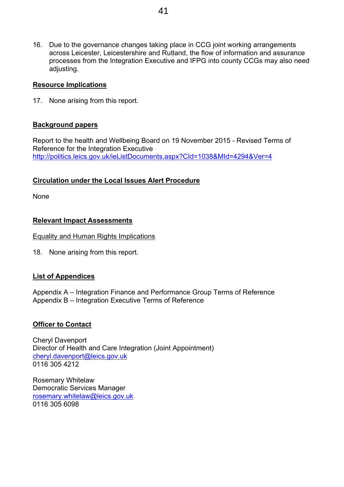16. Due to the governance changes taking place in CCG joint working arrangements across Leicester, Leicestershire and Rutland, the flow of information and assurance processes from the Integration Executive and IFPG into county CCGs may also need adjusting.

### **Resource Implications**

17. None arising from this report.

### **Background papers**

Report to the health and Wellbeing Board on 19 November 2015 - Revised Terms of Reference for the Integration Executive <http://politics.leics.gov.uk/ieListDocuments.aspx?CId=1038&MId=4294&Ver=4>

# **Circulation under the Local Issues Alert Procedure**

None

### **Relevant Impact Assessments**

Equality and Human Rights Implications

18. None arising from this report.

# **List of Appendices**

Appendix A – Integration Finance and Performance Group Terms of Reference Appendix B – Integration Executive Terms of Reference

### **Officer to Contact**

Cheryl Davenport Director of Health and Care Integration (Joint Appointment) [cheryl.davenport@leics.gov.uk](mailto:cheryl.davenport@leics.gov.uk) 0116 305 4212

Rosemary Whitelaw Democratic Services Manager [rosemary.whitelaw@leics.gov.uk](mailto:rosemary.whitelaw@leics.gov.uk) 0116 305 6098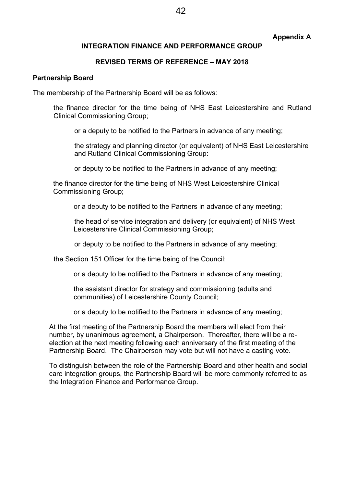### **Appendix A**

### **INTEGRATION FINANCE AND PERFORMANCE GROUP**

### **REVISED TERMS OF REFERENCE – MAY 2018**

#### **Partnership Board**

The membership of the Partnership Board will be as follows:

the finance director for the time being of NHS East Leicestershire and Rutland Clinical Commissioning Group;

or a deputy to be notified to the Partners in advance of any meeting;

the strategy and planning director (or equivalent) of NHS East Leicestershire and Rutland Clinical Commissioning Group:

or deputy to be notified to the Partners in advance of any meeting;

the finance director for the time being of NHS West Leicestershire Clinical Commissioning Group;

or a deputy to be notified to the Partners in advance of any meeting;

the head of service integration and delivery (or equivalent) of NHS West Leicestershire Clinical Commissioning Group;

or deputy to be notified to the Partners in advance of any meeting;

the Section 151 Officer for the time being of the Council:

or a deputy to be notified to the Partners in advance of any meeting;

the assistant director for strategy and commissioning (adults and communities) of Leicestershire County Council;

or a deputy to be notified to the Partners in advance of any meeting;

At the first meeting of the Partnership Board the members will elect from their number, by unanimous agreement, a Chairperson. Thereafter, there will be a reelection at the next meeting following each anniversary of the first meeting of the Partnership Board. The Chairperson may vote but will not have a casting vote.

To distinguish between the role of the Partnership Board and other health and social care integration groups, the Partnership Board will be more commonly referred to as the Integration Finance and Performance Group.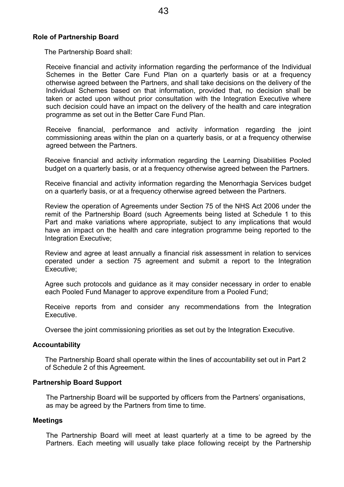# **Role of Partnership Board**

The Partnership Board shall:

Receive financial and activity information regarding the performance of the Individual Schemes in the Better Care Fund Plan on a quarterly basis or at a frequency otherwise agreed between the Partners, and shall take decisions on the delivery of the Individual Schemes based on that information, provided that, no decision shall be taken or acted upon without prior consultation with the Integration Executive where such decision could have an impact on the delivery of the health and care integration programme as set out in the Better Care Fund Plan.

Receive financial, performance and activity information regarding the joint commissioning areas within the plan on a quarterly basis, or at a frequency otherwise agreed between the Partners.

Receive financial and activity information regarding the Learning Disabilities Pooled budget on a quarterly basis, or at a frequency otherwise agreed between the Partners.

Receive financial and activity information regarding the Menorrhagia Services budget on a quarterly basis, or at a frequency otherwise agreed between the Partners.

Review the operation of Agreements under Section 75 of the NHS Act 2006 under the remit of the Partnership Board (such Agreements being listed at Schedule 1 to this Part and make variations where appropriate, subject to any implications that would have an impact on the health and care integration programme being reported to the Integration Executive;

Review and agree at least annually a financial risk assessment in relation to services operated under a section 75 agreement and submit a report to the Integration Executive;

Agree such protocols and guidance as it may consider necessary in order to enable each Pooled Fund Manager to approve expenditure from a Pooled Fund;

Receive reports from and consider any recommendations from the Integration Executive.

Oversee the joint commissioning priorities as set out by the Integration Executive.

# **Accountability**

The Partnership Board shall operate within the lines of accountability set out in Part 2 of Schedule 2 of this Agreement.

# **Partnership Board Support**

The Partnership Board will be supported by officers from the Partners' organisations, as may be agreed by the Partners from time to time.

# **Meetings**

The Partnership Board will meet at least quarterly at a time to be agreed by the Partners. Each meeting will usually take place following receipt by the Partnership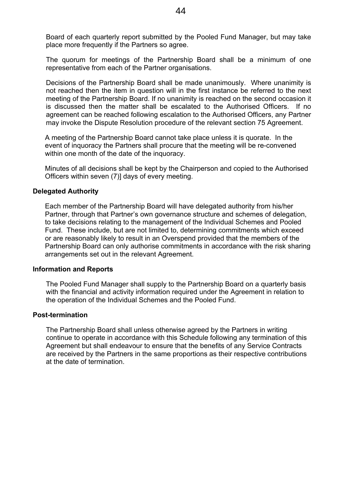Board of each quarterly report submitted by the Pooled Fund Manager, but may take place more frequently if the Partners so agree.

The quorum for meetings of the Partnership Board shall be a minimum of one representative from each of the Partner organisations.

Decisions of the Partnership Board shall be made unanimously. Where unanimity is not reached then the item in question will in the first instance be referred to the next meeting of the Partnership Board. If no unanimity is reached on the second occasion it is discussed then the matter shall be escalated to the Authorised Officers. If no agreement can be reached following escalation to the Authorised Officers, any Partner may invoke the Dispute Resolution procedure of the relevant section 75 Agreement.

A meeting of the Partnership Board cannot take place unless it is quorate. In the event of inquoracy the Partners shall procure that the meeting will be re-convened within one month of the date of the inquoracy.

Minutes of all decisions shall be kept by the Chairperson and copied to the Authorised Officers within seven (7)] days of every meeting.

### **Delegated Authority**

Each member of the Partnership Board will have delegated authority from his/her Partner, through that Partner's own governance structure and schemes of delegation, to take decisions relating to the management of the Individual Schemes and Pooled Fund. These include, but are not limited to, determining commitments which exceed or are reasonably likely to result in an Overspend provided that the members of the Partnership Board can only authorise commitments in accordance with the risk sharing arrangements set out in the relevant Agreement.

### **Information and Reports**

The Pooled Fund Manager shall supply to the Partnership Board on a quarterly basis with the financial and activity information required under the Agreement in relation to the operation of the Individual Schemes and the Pooled Fund.

### **Post-termination**

The Partnership Board shall unless otherwise agreed by the Partners in writing continue to operate in accordance with this Schedule following any termination of this Agreement but shall endeavour to ensure that the benefits of any Service Contracts are received by the Partners in the same proportions as their respective contributions at the date of termination.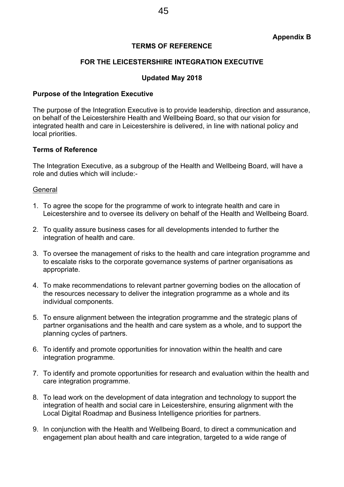### **TERMS OF REFERENCE**

### **FOR THE LEICESTERSHIRE INTEGRATION EXECUTIVE**

### **Updated May 2018**

#### **Purpose of the Integration Executive**

The purpose of the Integration Executive is to provide leadership, direction and assurance, on behalf of the Leicestershire Health and Wellbeing Board, so that our vision for integrated health and care in Leicestershire is delivered, in line with national policy and local priorities.

#### **Terms of Reference**

The Integration Executive, as a subgroup of the Health and Wellbeing Board, will have a role and duties which will include:-

#### **General**

- 1. To agree the scope for the programme of work to integrate health and care in Leicestershire and to oversee its delivery on behalf of the Health and Wellbeing Board.
- 2. To quality assure business cases for all developments intended to further the integration of health and care.
- 3. To oversee the management of risks to the health and care integration programme and to escalate risks to the corporate governance systems of partner organisations as appropriate.
- 4. To make recommendations to relevant partner governing bodies on the allocation of the resources necessary to deliver the integration programme as a whole and its individual components.
- 5. To ensure alignment between the integration programme and the strategic plans of partner organisations and the health and care system as a whole, and to support the planning cycles of partners.
- 6. To identify and promote opportunities for innovation within the health and care integration programme.
- 7. To identify and promote opportunities for research and evaluation within the health and care integration programme.
- 8. To lead work on the development of data integration and technology to support the integration of health and social care in Leicestershire, ensuring alignment with the Local Digital Roadmap and Business Intelligence priorities for partners.
- 9. In conjunction with the Health and Wellbeing Board, to direct a communication and engagement plan about health and care integration, targeted to a wide range of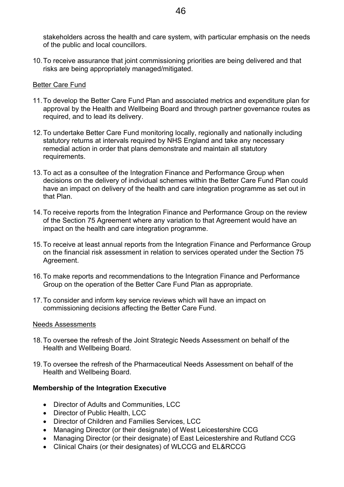stakeholders across the health and care system, with particular emphasis on the needs of the public and local councillors.

10.To receive assurance that joint commissioning priorities are being delivered and that risks are being appropriately managed/mitigated.

### Better Care Fund

- 11.To develop the Better Care Fund Plan and associated metrics and expenditure plan for approval by the Health and Wellbeing Board and through partner governance routes as required, and to lead its delivery.
- 12.To undertake Better Care Fund monitoring locally, regionally and nationally including statutory returns at intervals required by NHS England and take any necessary remedial action in order that plans demonstrate and maintain all statutory requirements.
- 13.To act as a consultee of the Integration Finance and Performance Group when decisions on the delivery of individual schemes within the Better Care Fund Plan could have an impact on delivery of the health and care integration programme as set out in that Plan.
- 14.To receive reports from the Integration Finance and Performance Group on the review of the Section 75 Agreement where any variation to that Agreement would have an impact on the health and care integration programme.
- 15.To receive at least annual reports from the Integration Finance and Performance Group on the financial risk assessment in relation to services operated under the Section 75 Agreement.
- 16.To make reports and recommendations to the Integration Finance and Performance Group on the operation of the Better Care Fund Plan as appropriate.
- 17.To consider and inform key service reviews which will have an impact on commissioning decisions affecting the Better Care Fund.

### Needs Assessments

- 18.To oversee the refresh of the Joint Strategic Needs Assessment on behalf of the Health and Wellbeing Board.
- 19.To oversee the refresh of the Pharmaceutical Needs Assessment on behalf of the Health and Wellbeing Board.

### **Membership of the Integration Executive**

- Director of Adults and Communities, LCC
- Director of Public Health, LCC
- Director of Children and Families Services, LCC
- Managing Director (or their designate) of West Leicestershire CCG
- Managing Director (or their designate) of East Leicestershire and Rutland CCG
- Clinical Chairs (or their designates) of WLCCG and EL&RCCG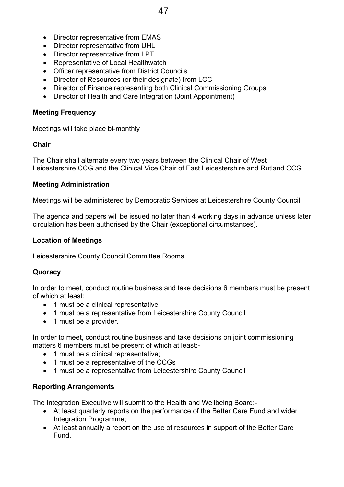- Director representative from EMAS
- Director representative from UHL
- Director representative from LPT
- Representative of Local Healthwatch
- Officer representative from District Councils
- Director of Resources (or their designate) from LCC
- Director of Finance representing both Clinical Commissioning Groups
- Director of Health and Care Integration (Joint Appointment)

### **Meeting Frequency**

Meetings will take place bi-monthly

### **Chair**

The Chair shall alternate every two years between the Clinical Chair of West Leicestershire CCG and the Clinical Vice Chair of East Leicestershire and Rutland CCG

### **Meeting Administration**

Meetings will be administered by Democratic Services at Leicestershire County Council

The agenda and papers will be issued no later than 4 working days in advance unless later circulation has been authorised by the Chair (exceptional circumstances).

### **Location of Meetings**

Leicestershire County Council Committee Rooms

### **Quoracy**

In order to meet, conduct routine business and take decisions 6 members must be present of which at least:

- 1 must be a clinical representative
- 1 must be a representative from Leicestershire County Council
- 1 must be a provider.

In order to meet, conduct routine business and take decisions on joint commissioning matters 6 members must be present of which at least:-

- 1 must be a clinical representative;
- 1 must be a representative of the CCGs
- 1 must be a representative from Leicestershire County Council

### **Reporting Arrangements**

The Integration Executive will submit to the Health and Wellbeing Board:-

- At least quarterly reports on the performance of the Better Care Fund and wider Integration Programme;
- At least annually a report on the use of resources in support of the Better Care Fund.